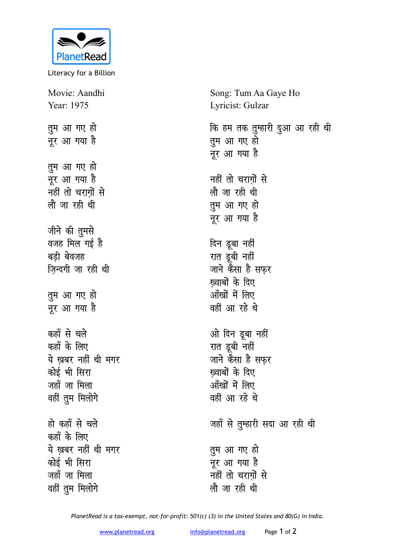

Literacy for a Billion

Movie: Aandhi Year: 1975 तुम आ गए हो नूर आ गया है तुम आ गए हो नुर आ गया है नहीं तो चरागों से लौजा रही थी जीने की तुमसे वजह मिल गई है बडी बेवजह जिन्दगी जा रही थी तूम आ गए हो नूर आ गया है कहाँ से चले कहाँ के लिए ये खबर नहीं थी मगर कोई भी सिरा जहाँ जा मिला वहीं तुम मिलोगे हो कहाँ से चले कहाँ के लिए ये खबर नहीं थी मगर कोई भी सिरा जहाँ जा मिला वहीं तुम मिलोगे

Song: Tum Aa Gaye Ho Lyricist: Gulzar कि हम तक तुम्हारी दुआ आ रही थी तुम आ गए हो नूर आ गया है नहीं तो चरागों से लौजा रही थी तुम आ गए हो नूर आ गया है दिन डूबा नहीं रात डूबी नहीं जाने कैसा है सफ़र ख्वाबों के दिए आँखों में लिए वहीं आ रहे थे ओ दिन डूबा नहीं रात डूबी नहीं जाने कैसा है सफर ख्वाबों के दिए आँखों में लिए वहीं आ रहे थे जहाँ से तुम्हारी सदा आ रही थी तुम आ गए हो नूर आ गया है नहीं तो चराग़ों से लौ जा रही थी

PlanetRead is a tax-exempt, not-for-profit: 501(c) (3) in the United States and 80(G) in India.